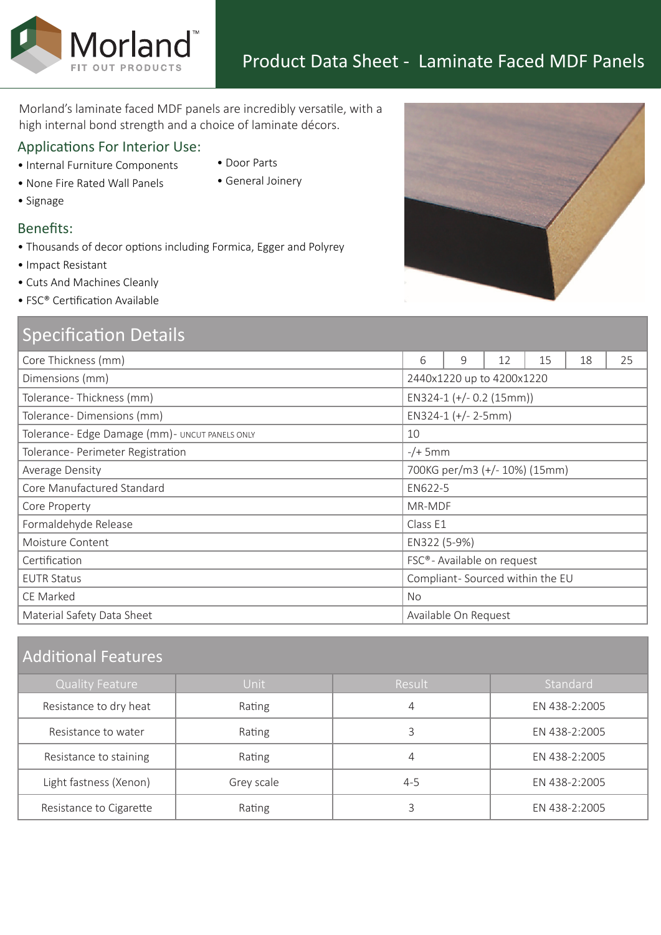Morland's laminate faced MDF panels are incredibly versatile, with a high internal bond strength and a choice of laminate décors.

## Applications For Interior Use:

Morland<sup>®</sup>

- Internal Furniture Components
- None Fire Rated Wall Panels
- Signage
- Door Parts
- General Joinery

- 
- Benefits:
- Thousands of decor options including Formica, Egger and Polyrey
- Impact Resistant
- Cuts And Machines Cleanly
- FSC® Certification Available

# Specification Details

| Core Thickness (mm)                             | 6                                       | 9                    | 12 | 15 | 18 | 25 |
|-------------------------------------------------|-----------------------------------------|----------------------|----|----|----|----|
| Dimensions (mm)                                 | 2440x1220 up to 4200x1220               |                      |    |    |    |    |
| Tolerance-Thickness (mm)                        | EN324-1 (+/- 0.2 (15mm))                |                      |    |    |    |    |
| Tolerance-Dimensions (mm)                       | EN324-1 $(+/- 2-5mm)$                   |                      |    |    |    |    |
| Tolerance- Edge Damage (mm) - UNCUT PANELS ONLY | 10                                      |                      |    |    |    |    |
| Tolerance- Perimeter Registration               | $-/+$ 5mm                               |                      |    |    |    |    |
| Average Density                                 | 700KG per/m3 (+/- 10%) (15mm)           |                      |    |    |    |    |
| Core Manufactured Standard                      | EN622-5                                 |                      |    |    |    |    |
| Core Property                                   | MR-MDF                                  |                      |    |    |    |    |
| Formaldehyde Release                            | Class E1                                |                      |    |    |    |    |
| Moisture Content                                | EN322 (5-9%)                            |                      |    |    |    |    |
| Certification                                   | FSC <sup>®</sup> - Available on request |                      |    |    |    |    |
| <b>EUTR Status</b>                              | Compliant-Sourced within the EU         |                      |    |    |    |    |
| CE Marked                                       | No                                      |                      |    |    |    |    |
| Material Safety Data Sheet                      |                                         | Available On Request |    |    |    |    |
|                                                 |                                         |                      |    |    |    |    |

# Additional Features

| <b>Quality Feature</b>  | Unit       | Result  | Standard      |
|-------------------------|------------|---------|---------------|
| Resistance to dry heat  | Rating     | 4       | EN 438-2:2005 |
| Resistance to water     | Rating     |         | EN 438-2:2005 |
| Resistance to staining  | Rating     | 4       | EN 438-2:2005 |
| Light fastness (Xenon)  | Grey scale | $4 - 5$ | EN 438-2:2005 |
| Resistance to Cigarette | Rating     |         | EN 438-2:2005 |